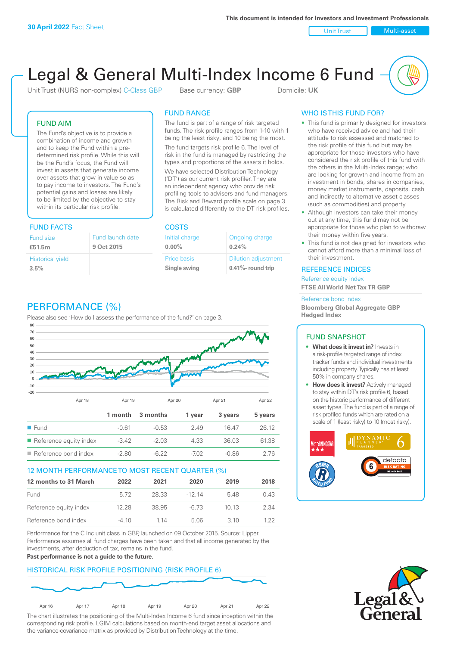Unit Trust Nulti-asset

# Legal & General Multi-Index Income 6 Fund

Unit Trust (NURS non-complex) C-Class GBP Base currency: **GBP** Domicile: UK

# FUND AIM

The Fund's objective is to provide a combination of income and growth and to keep the Fund within a predetermined risk profile. While this will be the Fund's focus, the Fund will invest in assets that generate income over assets that grow in value so as to pay income to investors. The Fund's potential gains and losses are likely to be limited by the objective to stay within its particular risk profile.

# FUND FACTS COSTS

| Fund size<br>£51.5m     | Fund launch date<br>9 Oct 2015 |
|-------------------------|--------------------------------|
| <b>Historical yield</b> |                                |
| 3.5%                    |                                |

# FUND RANGE

The fund is part of a range of risk targeted funds. The risk profile ranges from 1-10 with 1 being the least risky, and 10 being the most.

The fund targets risk profile 6. The level of risk in the fund is managed by restricting the types and proportions of the assets it holds. We have selected Distribution Technology ('DT') as our current risk profiler. They are an independent agency who provide risk profiling tools to advisers and fund managers. The Risk and Reward profile scale on page 3 is calculated differently to the DT risk profiles.

**0.00%**

| Initial charge     | Ongoing charge             |
|--------------------|----------------------------|
| $0.00\%$           | 0.24%                      |
| <b>Price basis</b> | <b>Dilution adjustment</b> |
| Single swing       | 0.41%- round trip          |

# WHO IS THIS FUND FOR?

- This fund is primarily designed for investors: who have received advice and had their attitude to risk assessed and matched to the risk profile of this fund but may be appropriate for those investors who have considered the risk profile of this fund with the others in the Multi-Index range; who are looking for growth and income from an investment in bonds, shares in companies, money market instruments, deposits, cash and indirectly to alternative asset classes (such as commodities) and property.
- Although investors can take their money out at any time, this fund may not be appropriate for those who plan to withdraw their money within five years.
- This fund is not designed for investors who cannot afford more than a minimal loss of their investment.

# REFERENCE INDICES

Reference equity index **FTSE All World Net Tax TR GBP**

#### Reference bond index

**Bloomberg Global Aggregate GBP Hedged Index**

# FUND SNAPSHOT

- **• What does it invest in?** Invests in a risk-profile targeted range of index tracker funds and individual investments including property. Typically has at least 50% in company shares.
- **• How does it invest?** Actively managed to stay within DT's risk profile 6, based on the historic performance of different asset types. The fund is part of a range of risk profiled funds which are rated on a scale of 1 (least risky) to 10 (most risky).





# PERFORMANCE (%)

Please also see 'How do I assess the performance of the fund?' on page 3.



# 12 MONTH PERFORMANCE TO MOST RECENT QUARTER (%)

| 12 months to 31 March  | 2022  | 2021  | 2020   | 2019  | 2018 |
|------------------------|-------|-------|--------|-------|------|
| Fund                   | 5.72  | 28.33 | -12 14 | 548   | 0.43 |
| Reference equity index | 12.28 | 38.95 | -6.73  | 10 13 | 2.34 |
| Reference bond index   | -4 10 | 1 14  | 5.06   | 3 10  | 1 22 |

Performance for the C Inc unit class in GBP, launched on 09 October 2015. Source: Lipper. Performance assumes all fund charges have been taken and that all income generated by the investments, after deduction of tax, remains in the fund.

#### **Past performance is not a guide to the future.**

# HISTORICAL RISK PROFILE POSITIONING (RISK PROFILE 6)



The chart illustrates the positioning of the Multi-Index Income 6 fund since inception within the corresponding risk profile. LGIM calculations based on month-end target asset allocations and the variance-covariance matrix as provided by Distribution Technology at the time.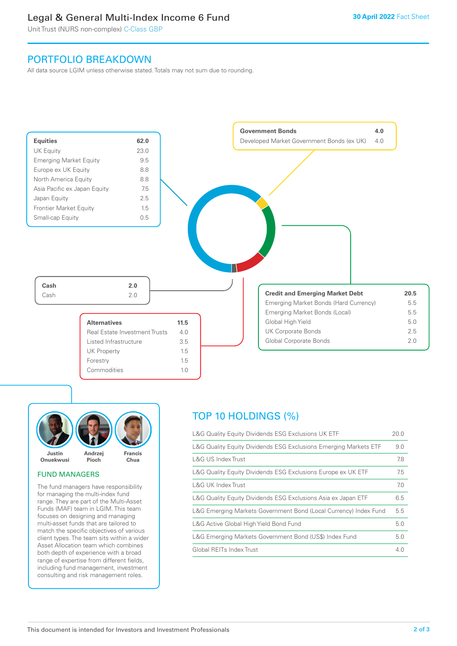# Legal & General Multi-Index Income 6 Fund

Unit Trust (NURS non-complex) C-Class GBP

# PORTFOLIO BREAKDOWN

All data source LGIM unless otherwise stated. Totals may not sum due to rounding.





# FUND MANAGERS

The fund managers have responsibility for managing the multi-index fund range. They are part of the Multi-Asset Funds (MAF) team in LGIM. This team focuses on designing and managing multi-asset funds that are tailored to match the specific objectives of various client types. The team sits within a wider Asset Allocation team which combines both depth of experience with a broad range of expertise from different fields, including fund management, investment consulting and risk management roles.

# TOP 10 HOLDINGS (%)

| L&G Quality Equity Dividends ESG Exclusions UK ETF               | 20.0 |
|------------------------------------------------------------------|------|
| L&G Quality Equity Dividends ESG Exclusions Emerging Markets ETF | 9.0  |
| L&G US Index Trust                                               | 7.8  |
| L&G Quality Equity Dividends ESG Exclusions Europe ex UK ETF     | 7.5  |
| L&G UK Index Trust                                               | 7.0  |
| L&G Quality Equity Dividends ESG Exclusions Asia ex Japan ETF    | 6.5  |
| L&G Emerging Markets Government Bond (Local Currency) Index Fund | 5.5  |
| L&G Active Global High Yield Bond Fund                           | 5.0  |
| L&G Emerging Markets Government Bond (US\$) Index Fund           | 5.0  |
| Global REITs Index Trust                                         | 4.0  |